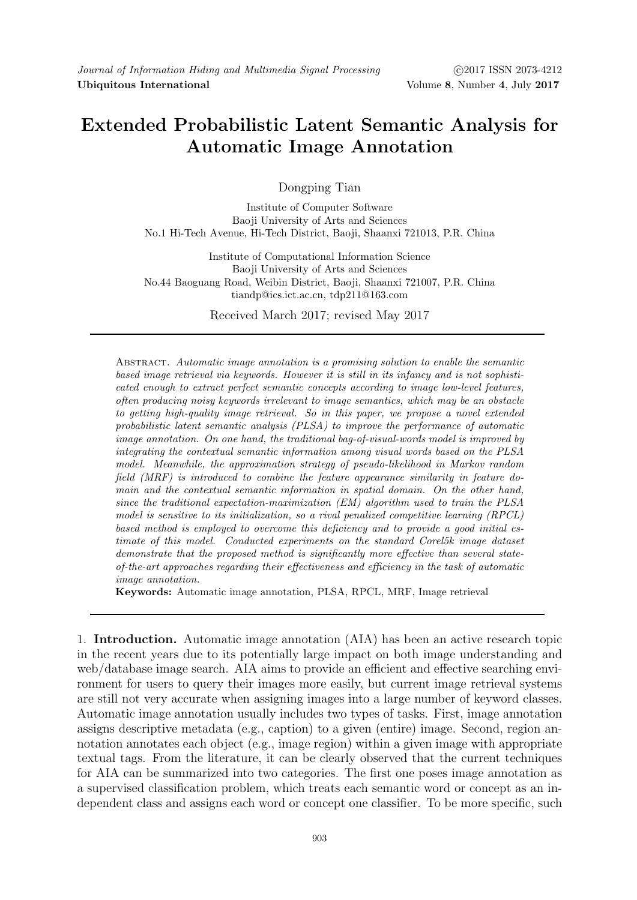# **Extended Probabilistic Latent Semantic Analysis for Automatic Image Annotation**

Dongping Tian

Institute of Computer Software Baoji University of Arts and Sciences No.1 Hi-Tech Avenue, Hi-Tech District, Baoji, Shaanxi 721013, P.R. China

Institute of Computational Information Science Baoji University of Arts and Sciences No.44 Baoguang Road, Weibin District, Baoji, Shaanxi 721007, P.R. China tiandp@ics.ict.ac.cn, tdp211@163.com

Received March 2017; revised May 2017

Abstract. *Automatic image annotation is a promising solution to enable the semantic based image retrieval via keywords. However it is still in its infancy and is not sophisticated enough to extract perfect semantic concepts according to image low-level features, often producing noisy keywords irrelevant to image semantics, which may be an obstacle to getting high-quality image retrieval. So in this paper, we propose a novel extended probabilistic latent semantic analysis (PLSA) to improve the performance of automatic image annotation. On one hand, the traditional bag-of-visual-words model is improved by integrating the contextual semantic information among visual words based on the PLSA model. Meanwhile, the approximation strategy of pseudo-likelihood in Markov random field (MRF) is introduced to combine the feature appearance similarity in feature domain and the contextual semantic information in spatial domain. On the other hand, since the traditional expectation-maximization (EM) algorithm used to train the PLSA model is sensitive to its initialization, so a rival penalized competitive learning (RPCL) based method is employed to overcome this deficiency and to provide a good initial estimate of this model. Conducted experiments on the standard Corel5k image dataset demonstrate that the proposed method is significantly more effective than several stateof-the-art approaches regarding their effectiveness and efficiency in the task of automatic image annotation.*

**Keywords:** Automatic image annotation, PLSA, RPCL, MRF, Image retrieval

1. **Introduction.** Automatic image annotation (AIA) has been an active research topic in the recent years due to its potentially large impact on both image understanding and web/database image search. AIA aims to provide an efficient and effective searching environment for users to query their images more easily, but current image retrieval systems are still not very accurate when assigning images into a large number of keyword classes. Automatic image annotation usually includes two types of tasks. First, image annotation assigns descriptive metadata (e.g., caption) to a given (entire) image. Second, region annotation annotates each object (e.g., image region) within a given image with appropriate textual tags. From the literature, it can be clearly observed that the current techniques for AIA can be summarized into two categories. The first one poses image annotation as a supervised classification problem, which treats each semantic word or concept as an independent class and assigns each word or concept one classifier. To be more specific, such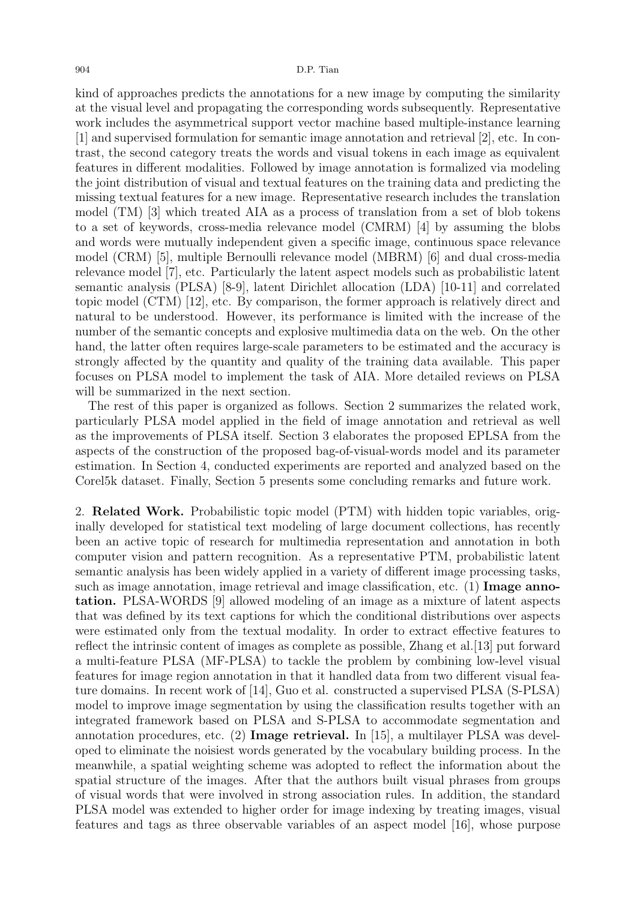kind of approaches predicts the annotations for a new image by computing the similarity at the visual level and propagating the corresponding words subsequently. Representative work includes the asymmetrical support vector machine based multiple-instance learning [1] and supervised formulation for semantic image annotation and retrieval [2], etc. In contrast, the second category treats the words and visual tokens in each image as equivalent features in different modalities. Followed by image annotation is formalized via modeling the joint distribution of visual and textual features on the training data and predicting the missing textual features for a new image. Representative research includes the translation model (TM) [3] which treated AIA as a process of translation from a set of blob tokens to a set of keywords, cross-media relevance model (CMRM) [4] by assuming the blobs and words were mutually independent given a specific image, continuous space relevance model (CRM) [5], multiple Bernoulli relevance model (MBRM) [6] and dual cross-media relevance model [7], etc. Particularly the latent aspect models such as probabilistic latent semantic analysis (PLSA) [8-9], latent Dirichlet allocation (LDA) [10-11] and correlated topic model (CTM) [12], etc. By comparison, the former approach is relatively direct and natural to be understood. However, its performance is limited with the increase of the number of the semantic concepts and explosive multimedia data on the web. On the other hand, the latter often requires large-scale parameters to be estimated and the accuracy is strongly affected by the quantity and quality of the training data available. This paper focuses on PLSA model to implement the task of AIA. More detailed reviews on PLSA will be summarized in the next section.

The rest of this paper is organized as follows. Section 2 summarizes the related work, particularly PLSA model applied in the field of image annotation and retrieval as well as the improvements of PLSA itself. Section 3 elaborates the proposed EPLSA from the aspects of the construction of the proposed bag-of-visual-words model and its parameter estimation. In Section 4, conducted experiments are reported and analyzed based on the Corel5k dataset. Finally, Section 5 presents some concluding remarks and future work.

2. **Related Work.** Probabilistic topic model (PTM) with hidden topic variables, originally developed for statistical text modeling of large document collections, has recently been an active topic of research for multimedia representation and annotation in both computer vision and pattern recognition. As a representative PTM, probabilistic latent semantic analysis has been widely applied in a variety of different image processing tasks, such as image annotation, image retrieval and image classification, etc. (1) **Image annotation.** PLSA-WORDS [9] allowed modeling of an image as a mixture of latent aspects that was defined by its text captions for which the conditional distributions over aspects were estimated only from the textual modality. In order to extract effective features to reflect the intrinsic content of images as complete as possible, Zhang et al.[13] put forward a multi-feature PLSA (MF-PLSA) to tackle the problem by combining low-level visual features for image region annotation in that it handled data from two different visual feature domains. In recent work of [14], Guo et al. constructed a supervised PLSA (S-PLSA) model to improve image segmentation by using the classification results together with an integrated framework based on PLSA and S-PLSA to accommodate segmentation and annotation procedures, etc. (2) **Image retrieval.** In [15], a multilayer PLSA was developed to eliminate the noisiest words generated by the vocabulary building process. In the meanwhile, a spatial weighting scheme was adopted to reflect the information about the spatial structure of the images. After that the authors built visual phrases from groups of visual words that were involved in strong association rules. In addition, the standard PLSA model was extended to higher order for image indexing by treating images, visual features and tags as three observable variables of an aspect model [16], whose purpose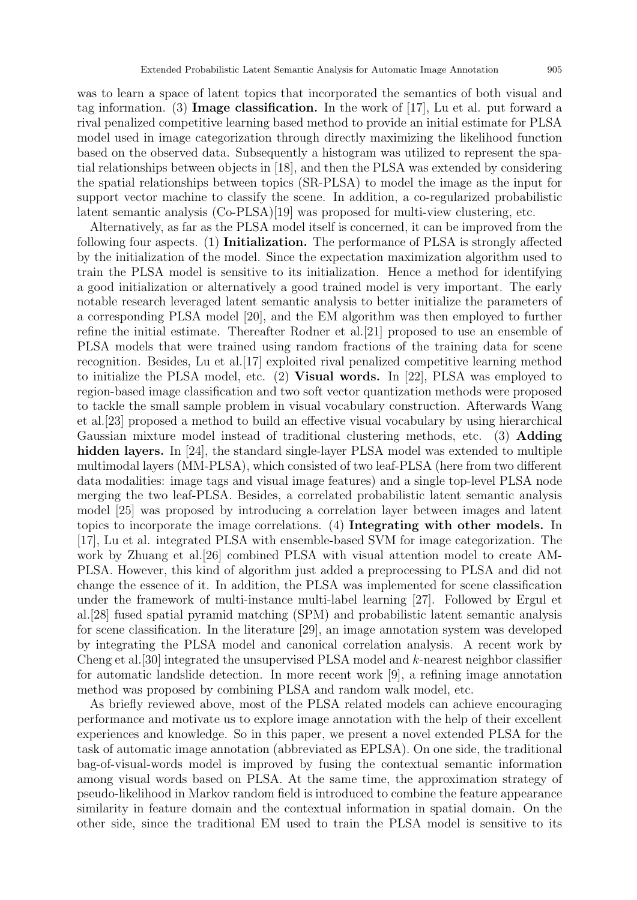was to learn a space of latent topics that incorporated the semantics of both visual and tag information. (3) **Image classification.** In the work of [17], Lu et al. put forward a rival penalized competitive learning based method to provide an initial estimate for PLSA model used in image categorization through directly maximizing the likelihood function based on the observed data. Subsequently a histogram was utilized to represent the spatial relationships between objects in [18], and then the PLSA was extended by considering the spatial relationships between topics (SR-PLSA) to model the image as the input for support vector machine to classify the scene. In addition, a co-regularized probabilistic

latent semantic analysis (Co-PLSA)[19] was proposed for multi-view clustering, etc.

Alternatively, as far as the PLSA model itself is concerned, it can be improved from the following four aspects. (1) **Initialization.** The performance of PLSA is strongly affected by the initialization of the model. Since the expectation maximization algorithm used to train the PLSA model is sensitive to its initialization. Hence a method for identifying a good initialization or alternatively a good trained model is very important. The early notable research leveraged latent semantic analysis to better initialize the parameters of a corresponding PLSA model [20], and the EM algorithm was then employed to further refine the initial estimate. Thereafter Rodner et al.[21] proposed to use an ensemble of PLSA models that were trained using random fractions of the training data for scene recognition. Besides, Lu et al.[17] exploited rival penalized competitive learning method to initialize the PLSA model, etc. (2) **Visual words.** In [22], PLSA was employed to region-based image classification and two soft vector quantization methods were proposed to tackle the small sample problem in visual vocabulary construction. Afterwards Wang et al.[23] proposed a method to build an effective visual vocabulary by using hierarchical Gaussian mixture model instead of traditional clustering methods, etc. (3) **Adding hidden layers.** In [24], the standard single-layer PLSA model was extended to multiple multimodal layers (MM-PLSA), which consisted of two leaf-PLSA (here from two different data modalities: image tags and visual image features) and a single top-level PLSA node merging the two leaf-PLSA. Besides, a correlated probabilistic latent semantic analysis model [25] was proposed by introducing a correlation layer between images and latent topics to incorporate the image correlations. (4) **Integrating with other models.** In [17], Lu et al. integrated PLSA with ensemble-based SVM for image categorization. The work by Zhuang et al.[26] combined PLSA with visual attention model to create AM-PLSA. However, this kind of algorithm just added a preprocessing to PLSA and did not change the essence of it. In addition, the PLSA was implemented for scene classification under the framework of multi-instance multi-label learning [27]. Followed by Ergul et al.[28] fused spatial pyramid matching (SPM) and probabilistic latent semantic analysis for scene classification. In the literature [29], an image annotation system was developed by integrating the PLSA model and canonical correlation analysis. A recent work by Cheng et al.[30] integrated the unsupervised PLSA model and *k*-nearest neighbor classifier for automatic landslide detection. In more recent work [9], a refining image annotation method was proposed by combining PLSA and random walk model, etc.

As briefly reviewed above, most of the PLSA related models can achieve encouraging performance and motivate us to explore image annotation with the help of their excellent experiences and knowledge. So in this paper, we present a novel extended PLSA for the task of automatic image annotation (abbreviated as EPLSA). On one side, the traditional bag-of-visual-words model is improved by fusing the contextual semantic information among visual words based on PLSA. At the same time, the approximation strategy of pseudo-likelihood in Markov random field is introduced to combine the feature appearance similarity in feature domain and the contextual information in spatial domain. On the other side, since the traditional EM used to train the PLSA model is sensitive to its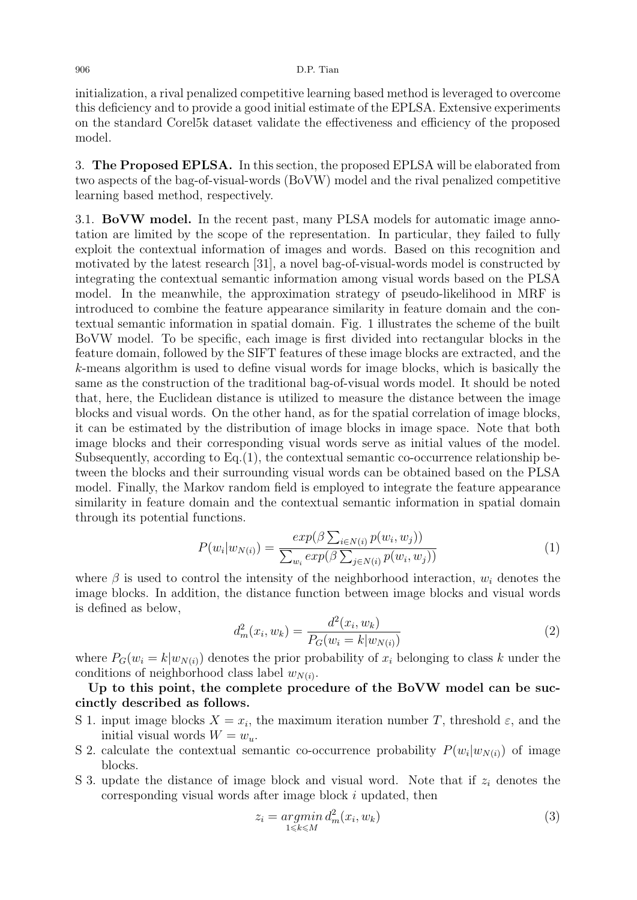initialization, a rival penalized competitive learning based method is leveraged to overcome this deficiency and to provide a good initial estimate of the EPLSA. Extensive experiments on the standard Corel5k dataset validate the effectiveness and efficiency of the proposed model.

3. **The Proposed EPLSA.** In this section, the proposed EPLSA will be elaborated from two aspects of the bag-of-visual-words (BoVW) model and the rival penalized competitive learning based method, respectively.

3.1. **BoVW model.** In the recent past, many PLSA models for automatic image annotation are limited by the scope of the representation. In particular, they failed to fully exploit the contextual information of images and words. Based on this recognition and motivated by the latest research [31], a novel bag-of-visual-words model is constructed by integrating the contextual semantic information among visual words based on the PLSA model. In the meanwhile, the approximation strategy of pseudo-likelihood in MRF is introduced to combine the feature appearance similarity in feature domain and the contextual semantic information in spatial domain. Fig. 1 illustrates the scheme of the built BoVW model. To be specific, each image is first divided into rectangular blocks in the feature domain, followed by the SIFT features of these image blocks are extracted, and the *k*-means algorithm is used to define visual words for image blocks, which is basically the same as the construction of the traditional bag-of-visual words model. It should be noted that, here, the Euclidean distance is utilized to measure the distance between the image blocks and visual words. On the other hand, as for the spatial correlation of image blocks, it can be estimated by the distribution of image blocks in image space. Note that both image blocks and their corresponding visual words serve as initial values of the model. Subsequently, according to Eq.(1), the contextual semantic co-occurrence relationship between the blocks and their surrounding visual words can be obtained based on the PLSA model. Finally, the Markov random field is employed to integrate the feature appearance similarity in feature domain and the contextual semantic information in spatial domain through its potential functions.

$$
P(w_i|w_{N(i)}) = \frac{exp(\beta \sum_{i \in N(i)} p(w_i, w_j))}{\sum_{w_i} exp(\beta \sum_{j \in N(i)} p(w_i, w_j))}
$$
(1)

where  $\beta$  is used to control the intensity of the neighborhood interaction,  $w_i$  denotes the image blocks. In addition, the distance function between image blocks and visual words is defined as below,

$$
d_m^2(x_i, w_k) = \frac{d^2(x_i, w_k)}{P_G(w_i = k|w_{N(i)})}
$$
\n(2)

where  $P_G(w_i = k|w_{N(i)})$  denotes the prior probability of  $x_i$  belonging to class  $k$  under the conditions of neighborhood class label  $w_{N(i)}$ .

**Up to this point, the complete procedure of the BoVW model can be succinctly described as follows.**

- S 1. input image blocks  $X = x_i$ , the maximum iteration number *T*, threshold  $\varepsilon$ , and the initial visual words  $W = w_u$ .
- S 2. calculate the contextual semantic co-occurrence probability  $P(w_i|w_{N(i)})$  of image blocks.
- S 3. update the distance of image block and visual word. Note that if *z<sup>i</sup>* denotes the corresponding visual words after image block *i* updated, then

$$
z_i = \underset{1 \le k \le M}{\operatorname{argmin}} d_m^2(x_i, w_k) \tag{3}
$$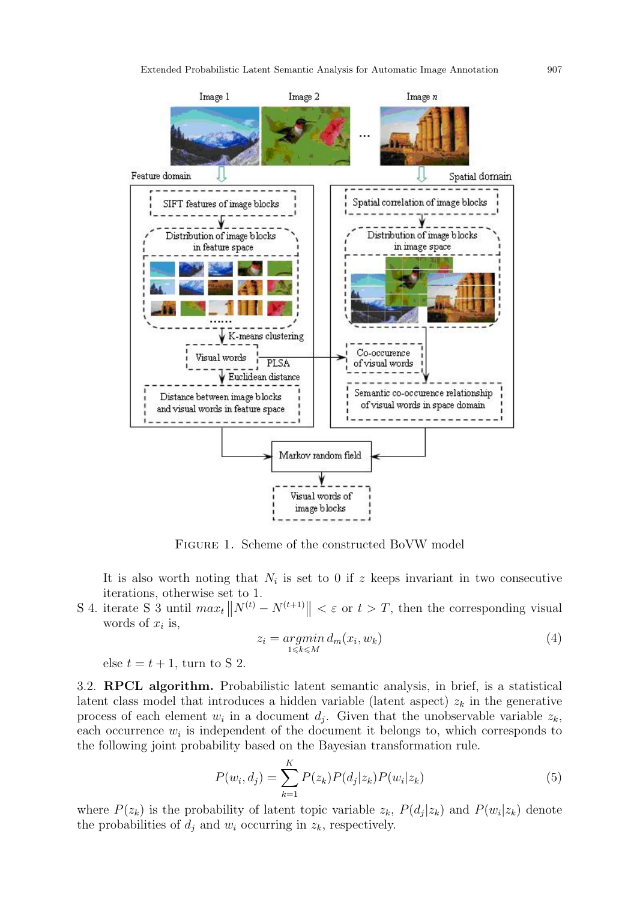

Figure 1. Scheme of the constructed BoVW model

It is also worth noting that  $N_i$  is set to 0 if  $z$  keeps invariant in two consecutive iterations, otherwise set to 1.

S 4. iterate S 3 until  $max_t ||N^{(t)} - N^{(t+1)}|| < \varepsilon$  or  $t > T$ , then the corresponding visual words of *x<sup>i</sup>* is,

$$
z_i = \underset{1 \le k \le M}{\operatorname{argmin}} d_m(x_i, w_k) \tag{4}
$$

else  $t = t + 1$ , turn to S 2.

3.2. **RPCL algorithm.** Probabilistic latent semantic analysis, in brief, is a statistical latent class model that introduces a hidden variable (latent aspect)  $z_k$  in the generative process of each element  $w_i$  in a document  $d_j$ . Given that the unobservable variable  $z_k$ , each occurrence  $w_i$  is independent of the document it belongs to, which corresponds to the following joint probability based on the Bayesian transformation rule.

$$
P(w_i, d_j) = \sum_{k=1}^{K} P(z_k) P(d_j | z_k) P(w_i | z_k)
$$
\n(5)

where  $P(z_k)$  is the probability of latent topic variable  $z_k$ ,  $P(d_j|z_k)$  and  $P(w_i|z_k)$  denote the probabilities of  $d_i$  and  $w_i$  occurring in  $z_k$ , respectively.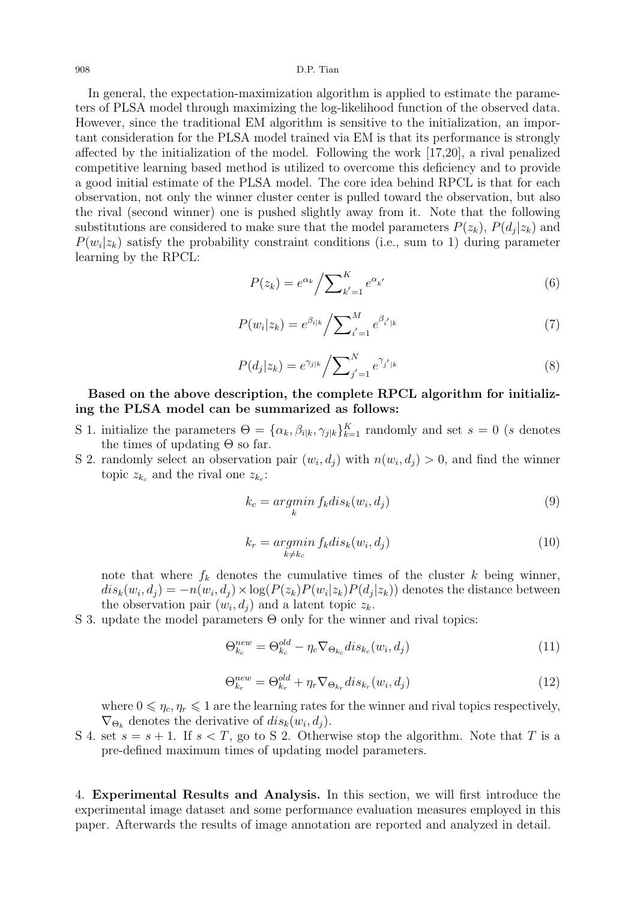In general, the expectation-maximization algorithm is applied to estimate the parameters of PLSA model through maximizing the log-likelihood function of the observed data. However, since the traditional EM algorithm is sensitive to the initialization, an important consideration for the PLSA model trained via EM is that its performance is strongly affected by the initialization of the model. Following the work [17,20], a rival penalized competitive learning based method is utilized to overcome this deficiency and to provide a good initial estimate of the PLSA model. The core idea behind RPCL is that for each observation, not only the winner cluster center is pulled toward the observation, but also the rival (second winner) one is pushed slightly away from it. Note that the following substitutions are considered to make sure that the model parameters  $P(z_k)$ ,  $P(d_j|z_k)$  and  $P(w_i|z_k)$  satisfy the probability constraint conditions (i.e., sum to 1) during parameter learning by the RPCL:

$$
P(z_k) = e^{\alpha_k} / \sum_{k'=1}^{K} e^{\alpha_{k'}} \tag{6}
$$

$$
P(w_i|z_k) = e^{\beta_{i|k}} / \sum_{i'=1}^{M} e^{\beta_{i'|k}}
$$
\n(7)

$$
P(d_j|z_k) = e^{\gamma_{j|k}} / \sum_{j'=1}^{N} e^{\gamma_{j'|k}} \tag{8}
$$

# **Based on the above description, the complete RPCL algorithm for initializing the PLSA model can be summarized as follows:**

- S 1. initialize the parameters  $\Theta = {\alpha_k, \beta_{i|k}, \gamma_{j|k}}_{k=1}^K$  randomly and set  $s = 0$  (*s* denotes the times of updating  $\Theta$  so far.
- S 2. randomly select an observation pair  $(w_i, d_j)$  with  $n(w_i, d_j) > 0$ , and find the winner topic  $z_{k_c}$  and the rival one  $z_{k_r}$ :

$$
k_c = \underset{k}{\operatorname{argmin}} \ f_k \, dis_k(w_i, d_j) \tag{9}
$$

$$
k_r = \underset{k \neq k_c}{\operatorname{argmin}} f_k \, dis_k(w_i, d_j) \tag{10}
$$

note that where  $f_k$  denotes the cumulative times of the cluster  $k$  being winner,  $dis_k(w_i, d_j) = -n(w_i, d_j) \times \log(P(z_k)P(w_i|z_k)P(d_j|z_k))$  denotes the distance between the observation pair  $(w_i, d_j)$  and a latent topic  $z_k$ .

S 3. update the model parameters  $\Theta$  only for the winner and rival topics:

$$
\Theta_{k_c}^{new} = \Theta_{k_c}^{old} - \eta_c \nabla_{\Theta_{k_c}} dis_{k_c}(w_i, d_j)
$$
\n(11)

$$
\Theta_{k_r}^{new} = \Theta_{k_r}^{old} + \eta_r \nabla_{\Theta_{k_r}} dis_{k_r}(w_i, d_j)
$$
\n(12)

where  $0 \leq \eta_c, \eta_r \leq 1$  are the learning rates for the winner and rival topics respectively,  $\nabla_{\Theta_k}$  denotes the derivative of  $dis_k(w_i, d_j)$ .

S 4. set  $s = s + 1$ . If  $s < T$ , go to S 2. Otherwise stop the algorithm. Note that T is a pre-defined maximum times of updating model parameters.

4. **Experimental Results and Analysis.** In this section, we will first introduce the experimental image dataset and some performance evaluation measures employed in this paper. Afterwards the results of image annotation are reported and analyzed in detail.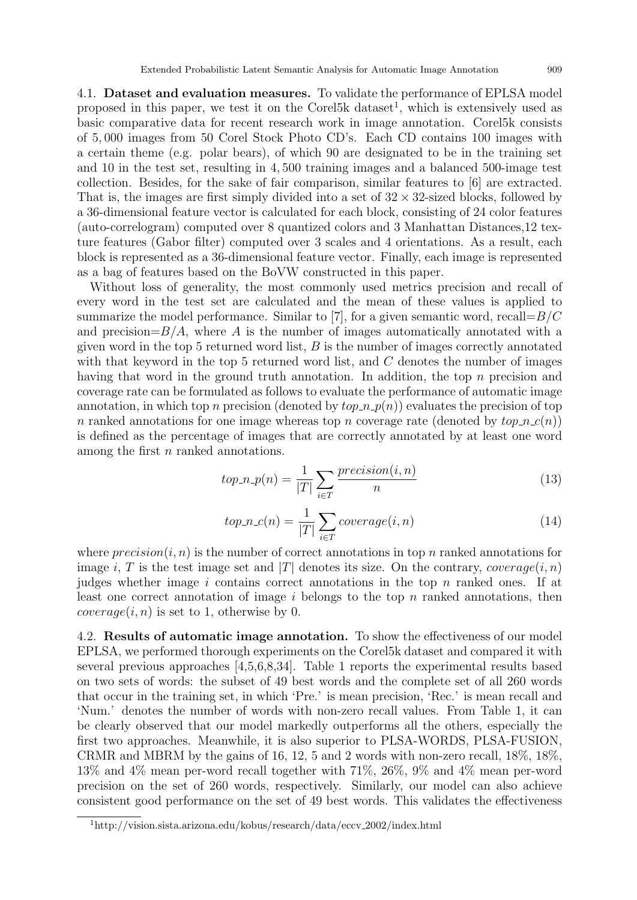4.1. **Dataset and evaluation measures.** To validate the performance of EPLSA model proposed in this paper, we test it on the Corel<sup>5k</sup> dataset<sup>1</sup>, which is extensively used as basic comparative data for recent research work in image annotation. Corel5k consists of 5*,* 000 images from 50 Corel Stock Photo CD's. Each CD contains 100 images with a certain theme (e.g. polar bears), of which 90 are designated to be in the training set and 10 in the test set, resulting in 4*,* 500 training images and a balanced 500-image test collection. Besides, for the sake of fair comparison, similar features to [6] are extracted. That is, the images are first simply divided into a set of 32 *×* 32-sized blocks, followed by a 36-dimensional feature vector is calculated for each block, consisting of 24 color features (auto-correlogram) computed over 8 quantized colors and 3 Manhattan Distances,12 texture features (Gabor filter) computed over 3 scales and 4 orientations. As a result, each block is represented as a 36-dimensional feature vector. Finally, each image is represented as a bag of features based on the BoVW constructed in this paper.

Without loss of generality, the most commonly used metrics precision and recall of every word in the test set are calculated and the mean of these values is applied to summarize the model performance. Similar to [7], for a given semantic word, recall=*B/C* and precision $=B/A$ , where A is the number of images automatically annotated with a given word in the top 5 returned word list, *B* is the number of images correctly annotated with that keyword in the top 5 returned word list, and *C* denotes the number of images having that word in the ground truth annotation. In addition, the top *n* precision and coverage rate can be formulated as follows to evaluate the performance of automatic image annotation, in which top *n* precision (denoted by  $top \, n \, p(n)$ ) evaluates the precision of top *n* ranked annotations for one image whereas top *n* coverage rate (denoted by  $top\_n_c(n)$ ) is defined as the percentage of images that are correctly annotated by at least one word among the first *n* ranked annotations.

$$
top.n.p(n) = \frac{1}{|T|} \sum_{i \in T} \frac{precision(i, n)}{n}
$$
\n(13)

$$
top\_n\_c(n) = \frac{1}{|T|} \sum_{i \in T} coverage(i, n)
$$
\n(14)

where  $precision(i, n)$  is the number of correct annotations in top *n* ranked annotations for image *i*, *T* is the test image set and *|T|* denotes its size. On the contrary, *coverage* $(i, n)$ judges whether image *i* contains correct annotations in the top *n* ranked ones. If at least one correct annotation of image *i* belongs to the top *n* ranked annotations, then *coverage* $(i, n)$  is set to 1, otherwise by 0.

4.2. **Results of automatic image annotation.** To show the effectiveness of our model EPLSA, we performed thorough experiments on the Corel5k dataset and compared it with several previous approaches [4,5,6,8,34]. Table 1 reports the experimental results based on two sets of words: the subset of 49 best words and the complete set of all 260 words that occur in the training set, in which 'Pre.' is mean precision, 'Rec.' is mean recall and 'Num.' denotes the number of words with non-zero recall values. From Table 1, it can be clearly observed that our model markedly outperforms all the others, especially the first two approaches. Meanwhile, it is also superior to PLSA-WORDS, PLSA-FUSION, CRMR and MBRM by the gains of 16, 12, 5 and 2 words with non-zero recall, 18%, 18%, 13% and 4% mean per-word recall together with 71%, 26%, 9% and 4% mean per-word precision on the set of 260 words, respectively. Similarly, our model can also achieve consistent good performance on the set of 49 best words. This validates the effectiveness

<sup>1</sup>http://vision.sista.arizona.edu/kobus/research/data/eccv 2002/index.html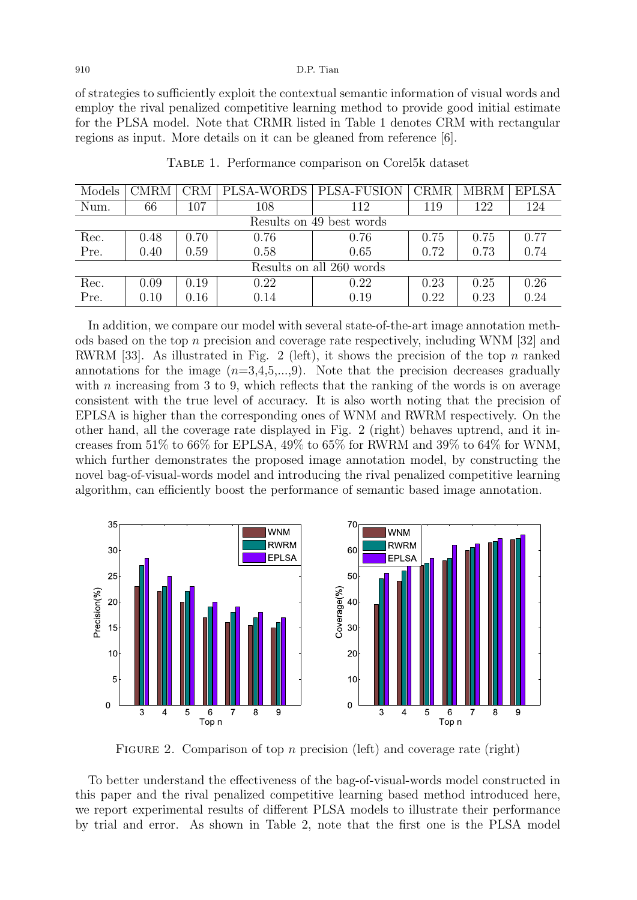of strategies to sufficiently exploit the contextual semantic information of visual words and employ the rival penalized competitive learning method to provide good initial estimate for the PLSA model. Note that CRMR listed in Table 1 denotes CRM with rectangular regions as input. More details on it can be gleaned from reference [6].

| Models                   | CMRM | CRM  | PLSA-WORDS | PLSA-FUSION | CRMR | <b>MBRM</b> | <b>EPLSA</b> |
|--------------------------|------|------|------------|-------------|------|-------------|--------------|
| Num.                     | 66   | 107  | 108        | 112         | 119  | 122         | 124          |
| Results on 49 best words |      |      |            |             |      |             |              |
| Rec.                     | 0.48 | 0.70 | 0.76       | 0.76        | 0.75 | 0.75        | 0.77         |
| Pre.                     | 0.40 | 0.59 | 0.58       | 0.65        | 0.72 | 0.73        | 0.74         |
| Results on all 260 words |      |      |            |             |      |             |              |
| Rec.                     | 0.09 | 0.19 | 0.22       | 0.22        | 0.23 | 0.25        | 0.26         |
| Pre.                     | 0.10 | 0.16 | 0.14       | 0.19        | 0.22 | 0.23        | 0.24         |

Table 1. Performance comparison on Corel5k dataset

In addition, we compare our model with several state-of-the-art image annotation methods based on the top *n* precision and coverage rate respectively, including WNM [32] and RWRM [33]. As illustrated in Fig. 2 (left), it shows the precision of the top *n* ranked annotations for the image  $(n=3,4,5,...,9)$ . Note that the precision decreases gradually with *n* increasing from 3 to 9, which reflects that the ranking of the words is on average consistent with the true level of accuracy. It is also worth noting that the precision of EPLSA is higher than the corresponding ones of WNM and RWRM respectively. On the other hand, all the coverage rate displayed in Fig. 2 (right) behaves uptrend, and it increases from 51% to 66% for EPLSA, 49% to 65% for RWRM and 39% to 64% for WNM, which further demonstrates the proposed image annotation model, by constructing the novel bag-of-visual-words model and introducing the rival penalized competitive learning algorithm, can efficiently boost the performance of semantic based image annotation.



FIGURE 2. Comparison of top *n* precision (left) and coverage rate (right)

To better understand the effectiveness of the bag-of-visual-words model constructed in this paper and the rival penalized competitive learning based method introduced here, we report experimental results of different PLSA models to illustrate their performance by trial and error. As shown in Table 2, note that the first one is the PLSA model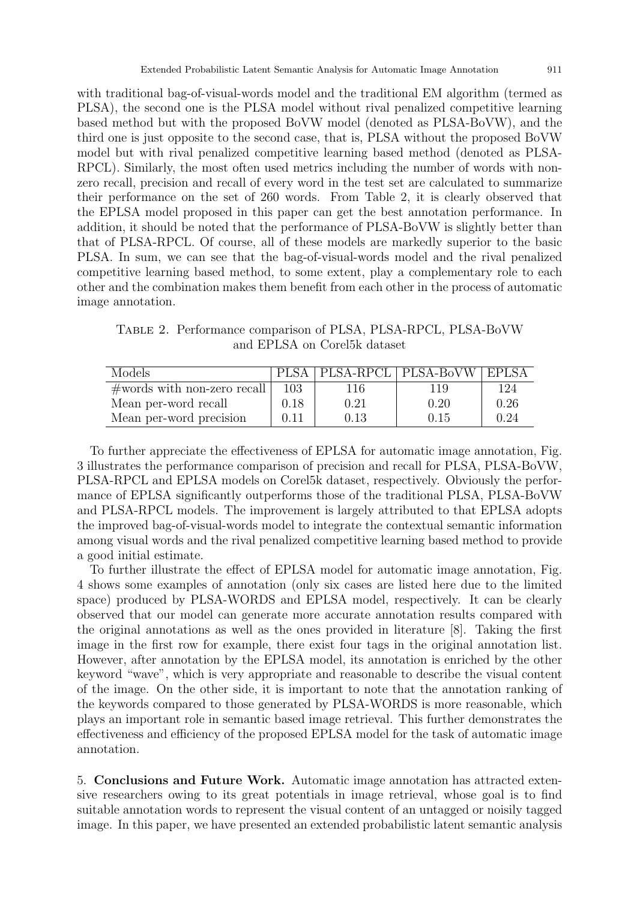third one is just opposite to the second case, that is, PLSA without the proposed BoVW model but with rival penalized competitive learning based method (denoted as PLSA-RPCL). Similarly, the most often used metrics including the number of words with nonzero recall, precision and recall of every word in the test set are calculated to summarize their performance on the set of 260 words. From Table 2, it is clearly observed that the EPLSA model proposed in this paper can get the best annotation performance. In addition, it should be noted that the performance of PLSA-BoVW is slightly better than that of PLSA-RPCL. Of course, all of these models are markedly superior to the basic PLSA. In sum, we can see that the bag-of-visual-words model and the rival penalized competitive learning based method, to some extent, play a complementary role to each other and the combination makes them benefit from each other in the process of automatic image annotation.

Table 2. Performance comparison of PLSA, PLSA-RPCL, PLSA-BoVW and EPLSA on Corel5k dataset

| Models                        | PLSA |      | PLSA-RPCL   PLSA-BoVW   EPLSA |      |
|-------------------------------|------|------|-------------------------------|------|
| $#words$ with non-zero recall | 103  | 116  | 119                           | 124  |
| Mean per-word recall          | 0.18 | 0.21 | 0.20                          | 0.26 |
| Mean per-word precision       | 0.11 | 0.13 | 0.15                          | 0.24 |

To further appreciate the effectiveness of EPLSA for automatic image annotation, Fig. 3 illustrates the performance comparison of precision and recall for PLSA, PLSA-BoVW, PLSA-RPCL and EPLSA models on Corel5k dataset, respectively. Obviously the performance of EPLSA significantly outperforms those of the traditional PLSA, PLSA-BoVW and PLSA-RPCL models. The improvement is largely attributed to that EPLSA adopts the improved bag-of-visual-words model to integrate the contextual semantic information among visual words and the rival penalized competitive learning based method to provide a good initial estimate.

To further illustrate the effect of EPLSA model for automatic image annotation, Fig. 4 shows some examples of annotation (only six cases are listed here due to the limited space) produced by PLSA-WORDS and EPLSA model, respectively. It can be clearly observed that our model can generate more accurate annotation results compared with the original annotations as well as the ones provided in literature [8]. Taking the first image in the first row for example, there exist four tags in the original annotation list. However, after annotation by the EPLSA model, its annotation is enriched by the other keyword "wave", which is very appropriate and reasonable to describe the visual content of the image. On the other side, it is important to note that the annotation ranking of the keywords compared to those generated by PLSA-WORDS is more reasonable, which plays an important role in semantic based image retrieval. This further demonstrates the effectiveness and efficiency of the proposed EPLSA model for the task of automatic image annotation.

5. **Conclusions and Future Work.** Automatic image annotation has attracted extensive researchers owing to its great potentials in image retrieval, whose goal is to find suitable annotation words to represent the visual content of an untagged or noisily tagged image. In this paper, we have presented an extended probabilistic latent semantic analysis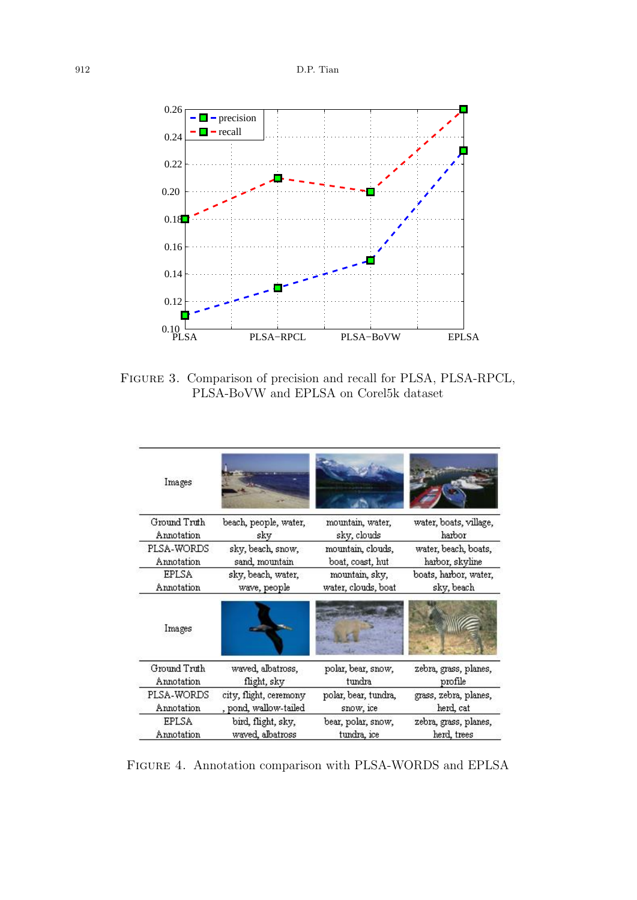

Figure 3. Comparison of precision and recall for PLSA, PLSA-RPCL, PLSA-BoVW and EPLSA on Corel5k dataset

| Images                                                                      |                       |                                   |                                    |  |
|-----------------------------------------------------------------------------|-----------------------|-----------------------------------|------------------------------------|--|
| Ground Truth                                                                | beach, people, water, | mountain, water,                  | water, boats, village,             |  |
| Annotation                                                                  | sky                   | sky, clouds                       | harbor                             |  |
| PLSA-WORDS                                                                  | sky, beach, snow,     | mountain, clouds,                 | water, beach, boats,               |  |
| Annotation                                                                  | sand, mountain        | boat, coast, hut                  | harbor, skyline                    |  |
| <b>EPLSA</b>                                                                | sky, beach, water,    | mountain, sky,                    | boats, harbor, water,              |  |
| Annotation                                                                  | wave, people          | water, clouds, boat               | sky, beach                         |  |
| Images                                                                      |                       |                                   |                                    |  |
| Ground Truth                                                                | waved, albatross,     | polar, bear, snow,                | zebra, grass, planes,              |  |
| Annotation                                                                  | flight, sky           | tundra                            | profile                            |  |
| PLSA-WORDS<br>city, flight, ceremony<br>, pond, wallow-tailed<br>Annotation |                       | polar, bear, tundra,<br>snow, ice | grass, zebra, planes,<br>herd, cat |  |
| <b>EPLSA</b>                                                                | bird, flight, sky,    | bear, polar, snow,                | zebra, grass, planes,              |  |
| Annotation                                                                  | waved, albatross      | tundra, ice                       | herd, trees                        |  |

Figure 4. Annotation comparison with PLSA-WORDS and EPLSA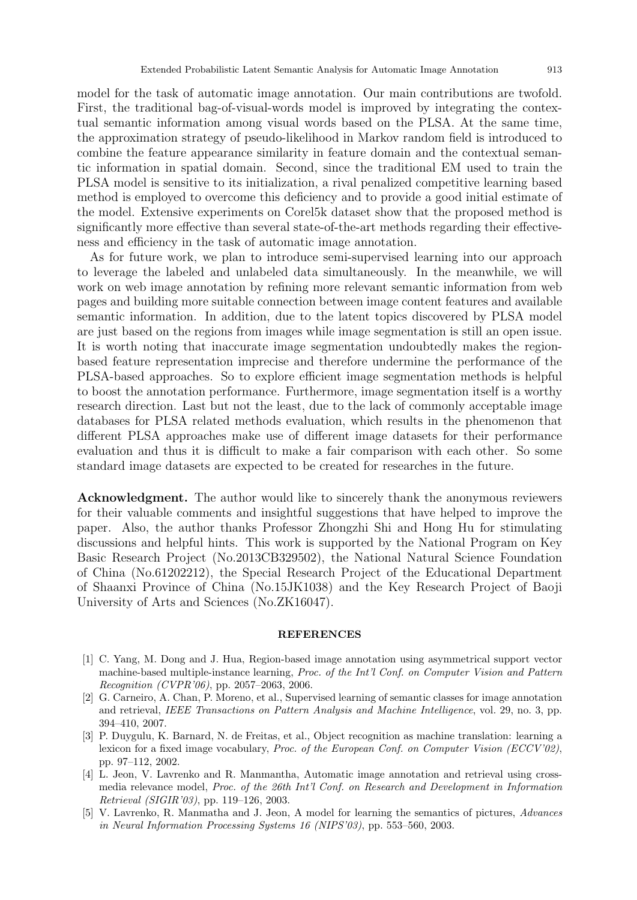model for the task of automatic image annotation. Our main contributions are twofold. First, the traditional bag-of-visual-words model is improved by integrating the contextual semantic information among visual words based on the PLSA. At the same time, the approximation strategy of pseudo-likelihood in Markov random field is introduced to combine the feature appearance similarity in feature domain and the contextual semantic information in spatial domain. Second, since the traditional EM used to train the PLSA model is sensitive to its initialization, a rival penalized competitive learning based method is employed to overcome this deficiency and to provide a good initial estimate of the model. Extensive experiments on Corel5k dataset show that the proposed method is significantly more effective than several state-of-the-art methods regarding their effectiveness and efficiency in the task of automatic image annotation.

As for future work, we plan to introduce semi-supervised learning into our approach to leverage the labeled and unlabeled data simultaneously. In the meanwhile, we will work on web image annotation by refining more relevant semantic information from web pages and building more suitable connection between image content features and available semantic information. In addition, due to the latent topics discovered by PLSA model are just based on the regions from images while image segmentation is still an open issue. It is worth noting that inaccurate image segmentation undoubtedly makes the regionbased feature representation imprecise and therefore undermine the performance of the PLSA-based approaches. So to explore efficient image segmentation methods is helpful to boost the annotation performance. Furthermore, image segmentation itself is a worthy research direction. Last but not the least, due to the lack of commonly acceptable image databases for PLSA related methods evaluation, which results in the phenomenon that different PLSA approaches make use of different image datasets for their performance evaluation and thus it is difficult to make a fair comparison with each other. So some standard image datasets are expected to be created for researches in the future.

Acknowledgment. The author would like to sincerely thank the anonymous reviewers for their valuable comments and insightful suggestions that have helped to improve the paper. Also, the author thanks Professor Zhongzhi Shi and Hong Hu for stimulating discussions and helpful hints. This work is supported by the National Program on Key Basic Research Project (No.2013CB329502), the National Natural Science Foundation of China (No.61202212), the Special Research Project of the Educational Department of Shaanxi Province of China (No.15JK1038) and the Key Research Project of Baoji University of Arts and Sciences (No.ZK16047).

## **REFERENCES**

- [1] C. Yang, M. Dong and J. Hua, Region-based image annotation using asymmetrical support vector machine-based multiple-instance learning, *Proc. of the Int'l Conf. on Computer Vision and Pattern Recognition (CVPR'06)*, pp. 2057–2063, 2006.
- [2] G. Carneiro, A. Chan, P. Moreno, et al., Supervised learning of semantic classes for image annotation and retrieval, *IEEE Transactions on Pattern Analysis and Machine Intelligence*, vol. 29, no. 3, pp. 394–410, 2007.
- [3] P. Duygulu, K. Barnard, N. de Freitas, et al., Object recognition as machine translation: learning a lexicon for a fixed image vocabulary, *Proc. of the European Conf. on Computer Vision (ECCV'02)*, pp. 97–112, 2002.
- [4] L. Jeon, V. Lavrenko and R. Manmantha, Automatic image annotation and retrieval using crossmedia relevance model, *Proc. of the 26th Int'l Conf. on Research and Development in Information Retrieval (SIGIR'03)*, pp. 119–126, 2003.
- [5] V. Lavrenko, R. Manmatha and J. Jeon, A model for learning the semantics of pictures, *Advances in Neural Information Processing Systems 16 (NIPS'03)*, pp. 553–560, 2003.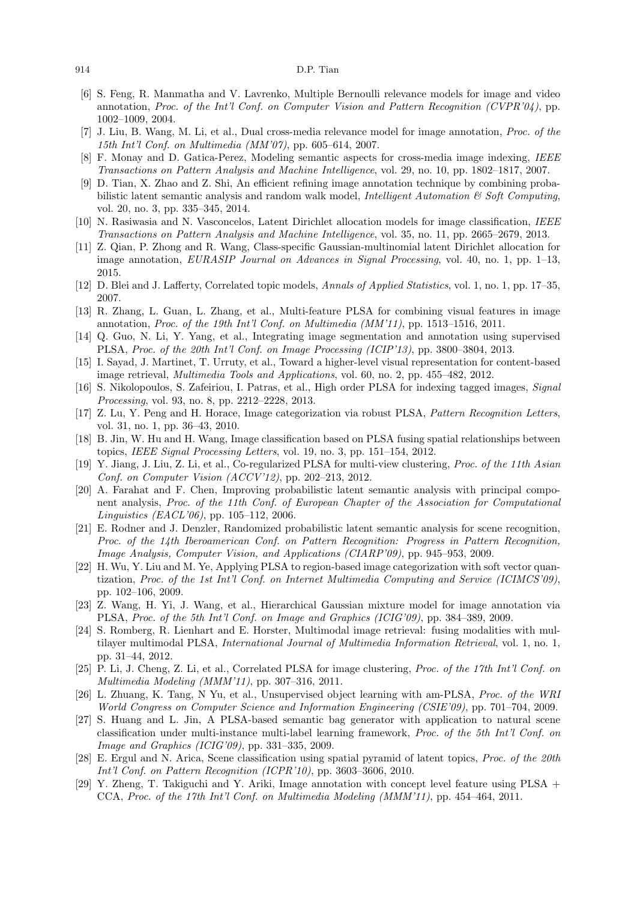- [6] S. Feng, R. Manmatha and V. Lavrenko, Multiple Bernoulli relevance models for image and video annotation, *Proc. of the Int'l Conf. on Computer Vision and Pattern Recognition (CVPR'04)*, pp. 1002–1009, 2004.
- [7] J. Liu, B. Wang, M. Li, et al., Dual cross-media relevance model for image annotation, *Proc. of the 15th Int'l Conf. on Multimedia (MM'07)*, pp. 605–614, 2007.
- [8] F. Monay and D. Gatica-Perez, Modeling semantic aspects for cross-media image indexing, *IEEE Transactions on Pattern Analysis and Machine Intelligence*, vol. 29, no. 10, pp. 1802–1817, 2007.
- [9] D. Tian, X. Zhao and Z. Shi, An efficient refining image annotation technique by combining probabilistic latent semantic analysis and random walk model, *Intelligent Automation & Soft Computing*, vol. 20, no. 3, pp. 335–345, 2014.
- [10] N. Rasiwasia and N. Vasconcelos, Latent Dirichlet allocation models for image classification, *IEEE Transactions on Pattern Analysis and Machine Intelligence*, vol. 35, no. 11, pp. 2665–2679, 2013.
- [11] Z. Qian, P. Zhong and R. Wang, Class-specific Gaussian-multinomial latent Dirichlet allocation for image annotation, *EURASIP Journal on Advances in Signal Processing*, vol. 40, no. 1, pp. 1–13, 2015.
- [12] D. Blei and J. Lafferty, Correlated topic models, *Annals of Applied Statistics*, vol. 1, no. 1, pp. 17–35, 2007.
- [13] R. Zhang, L. Guan, L. Zhang, et al., Multi-feature PLSA for combining visual features in image annotation, *Proc. of the 19th Int'l Conf. on Multimedia (MM'11)*, pp. 1513–1516, 2011.
- [14] Q. Guo, N. Li, Y. Yang, et al., Integrating image segmentation and annotation using supervised PLSA, *Proc. of the 20th Int'l Conf. on Image Processing (ICIP'13)*, pp. 3800–3804, 2013.
- [15] I. Sayad, J. Martinet, T. Urruty, et al., Toward a higher-level visual representation for content-based image retrieval, *Multimedia Tools and Applications*, vol. 60, no. 2, pp. 455–482, 2012.
- [16] S. Nikolopoulos, S. Zafeiriou, I. Patras, et al., High order PLSA for indexing tagged images, *Signal Processing*, vol. 93, no. 8, pp. 2212–2228, 2013.
- [17] Z. Lu, Y. Peng and H. Horace, Image categorization via robust PLSA, *Pattern Recognition Letters*, vol. 31, no. 1, pp. 36–43, 2010.
- [18] B. Jin, W. Hu and H. Wang, Image classification based on PLSA fusing spatial relationships between topics, *IEEE Signal Processing Letters*, vol. 19, no. 3, pp. 151–154, 2012.
- [19] Y. Jiang, J. Liu, Z. Li, et al., Co-regularized PLSA for multi-view clustering, *Proc. of the 11th Asian Conf. on Computer Vision (ACCV'12)*, pp. 202–213, 2012.
- [20] A. Farahat and F. Chen, Improving probabilistic latent semantic analysis with principal component analysis, *Proc. of the 11th Conf. of European Chapter of the Association for Computational Linguistics (EACL'06)*, pp. 105–112, 2006.
- [21] E. Rodner and J. Denzler, Randomized probabilistic latent semantic analysis for scene recognition, *Proc. of the 14th Iberoamerican Conf. on Pattern Recognition: Progress in Pattern Recognition, Image Analysis, Computer Vision, and Applications (CIARP'09)*, pp. 945–953, 2009.
- [22] H. Wu, Y. Liu and M. Ye, Applying PLSA to region-based image categorization with soft vector quantization, *Proc. of the 1st Int'l Conf. on Internet Multimedia Computing and Service (ICIMCS'09)*, pp. 102–106, 2009.
- [23] Z. Wang, H. Yi, J. Wang, et al., Hierarchical Gaussian mixture model for image annotation via PLSA, *Proc. of the 5th Int'l Conf. on Image and Graphics (ICIG'09)*, pp. 384–389, 2009.
- [24] S. Romberg, R. Lienhart and E. Horster, Multimodal image retrieval: fusing modalities with multilayer multimodal PLSA, *International Journal of Multimedia Information Retrieval*, vol. 1, no. 1, pp. 31–44, 2012.
- [25] P. Li, J. Cheng, Z. Li, et al., Correlated PLSA for image clustering, *Proc. of the 17th Int'l Conf. on Multimedia Modeling (MMM'11)*, pp. 307–316, 2011.
- [26] L. Zhuang, K. Tang, N Yu, et al., Unsupervised object learning with am-PLSA, *Proc. of the WRI World Congress on Computer Science and Information Engineering (CSIE'09)*, pp. 701–704, 2009.
- [27] S. Huang and L. Jin, A PLSA-based semantic bag generator with application to natural scene classification under multi-instance multi-label learning framework, *Proc. of the 5th Int'l Conf. on Image and Graphics (ICIG'09)*, pp. 331–335, 2009.
- [28] E. Ergul and N. Arica, Scene classification using spatial pyramid of latent topics, *Proc. of the 20th Int'l Conf. on Pattern Recognition (ICPR'10)*, pp. 3603–3606, 2010.
- [29] Y. Zheng, T. Takiguchi and Y. Ariki, Image annotation with concept level feature using PLSA + CCA, *Proc. of the 17th Int'l Conf. on Multimedia Modeling (MMM'11)*, pp. 454–464, 2011.